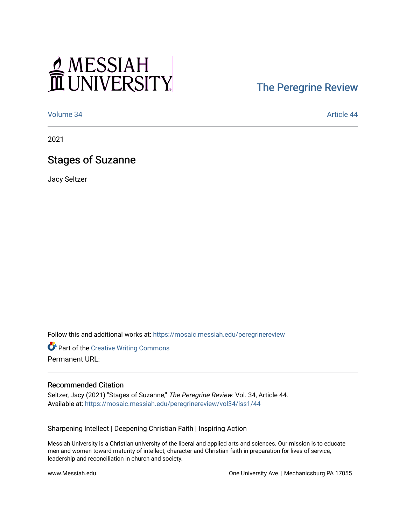# MESSIAH

### [The Peregrine Review](https://mosaic.messiah.edu/peregrinereview)

[Volume 34](https://mosaic.messiah.edu/peregrinereview/vol34) [Article 44](https://mosaic.messiah.edu/peregrinereview/vol34/iss1/44) 

2021

#### Stages of Suzanne

Jacy Seltzer

Follow this and additional works at: [https://mosaic.messiah.edu/peregrinereview](https://mosaic.messiah.edu/peregrinereview?utm_source=mosaic.messiah.edu%2Fperegrinereview%2Fvol34%2Fiss1%2F44&utm_medium=PDF&utm_campaign=PDFCoverPages) 

**Part of the Creative Writing Commons** Permanent URL:

#### Recommended Citation

Seltzer, Jacy (2021) "Stages of Suzanne," The Peregrine Review: Vol. 34, Article 44. Available at: [https://mosaic.messiah.edu/peregrinereview/vol34/iss1/44](https://mosaic.messiah.edu/peregrinereview/vol34/iss1/44?utm_source=mosaic.messiah.edu%2Fperegrinereview%2Fvol34%2Fiss1%2F44&utm_medium=PDF&utm_campaign=PDFCoverPages)

Sharpening Intellect | Deepening Christian Faith | Inspiring Action

Messiah University is a Christian university of the liberal and applied arts and sciences. Our mission is to educate men and women toward maturity of intellect, character and Christian faith in preparation for lives of service, leadership and reconciliation in church and society.

www.Messiah.edu One University Ave. | Mechanicsburg PA 17055